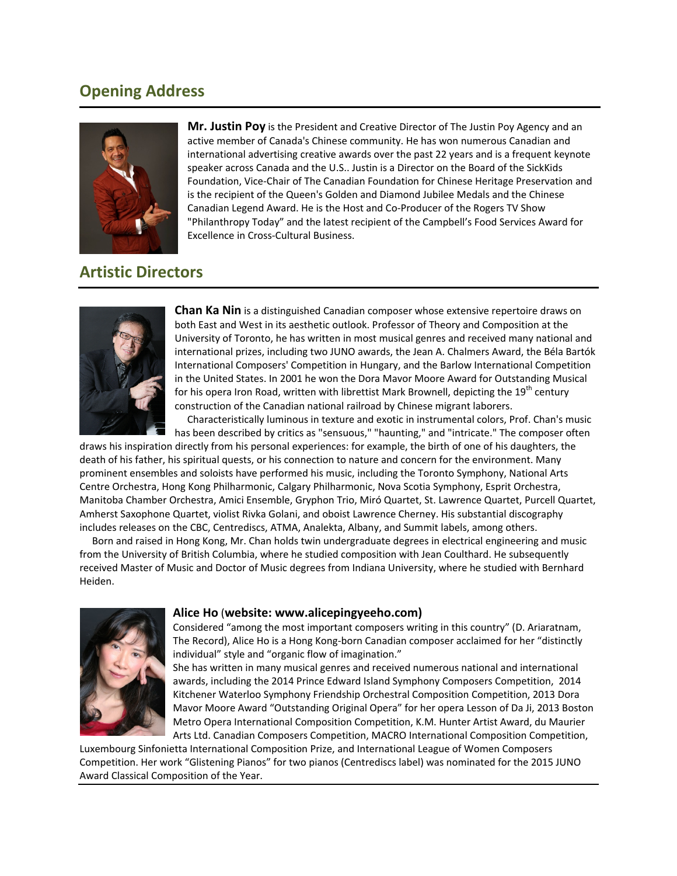# **Opening Address**



**Mr. Justin Poy** is the President and Creative Director of The Justin Poy Agency and an active member of Canada's Chinese community. He has won numerous Canadian and international advertising creative awards over the past 22 years and is a frequent keynote speaker across Canada and the U.S.. Justin is a Director on the Board of the SickKids Foundation, Vice‐Chair of The Canadian Foundation for Chinese Heritage Preservation and is the recipient of the Queen's Golden and Diamond Jubilee Medals and the Chinese Canadian Legend Award. He is the Host and Co‐Producer of the Rogers TV Show "Philanthropy Today" and the latest recipient of the Campbell's Food Services Award for Excellence in Cross‐Cultural Business.

# **Artistic Directors**



**Chan Ka Nin** is a distinguished Canadian composer whose extensive repertoire draws on both East and West in its aesthetic outlook. Professor of Theory and Composition at the University of Toronto, he has written in most musical genres and received many national and international prizes, including two JUNO awards, the Jean A. Chalmers Award, the Béla Bartók International Composers' Competition in Hungary, and the Barlow International Competition in the United States. In 2001 he won the Dora Mavor Moore Award for Outstanding Musical for his opera Iron Road, written with librettist Mark Brownell, depicting the  $19<sup>th</sup>$  century construction of the Canadian national railroad by Chinese migrant laborers.

 Characteristically luminous in texture and exotic in instrumental colors, Prof. Chan's music has been described by critics as "sensuous," "haunting," and "intricate." The composer often

draws his inspiration directly from his personal experiences: for example, the birth of one of his daughters, the death of his father, his spiritual quests, or his connection to nature and concern for the environment. Many prominent ensembles and soloists have performed his music, including the Toronto Symphony, National Arts Centre Orchestra, Hong Kong Philharmonic, Calgary Philharmonic, Nova Scotia Symphony, Esprit Orchestra, Manitoba Chamber Orchestra, Amici Ensemble, Gryphon Trio, Miró Quartet, St. Lawrence Quartet, Purcell Quartet, Amherst Saxophone Quartet, violist Rivka Golani, and oboist Lawrence Cherney. His substantial discography includes releases on the CBC, Centrediscs, ATMA, Analekta, Albany, and Summit labels, among others.

 Born and raised in Hong Kong, Mr. Chan holds twin undergraduate degrees in electrical engineering and music from the University of British Columbia, where he studied composition with Jean Coulthard. He subsequently received Master of Music and Doctor of Music degrees from Indiana University, where he studied with Bernhard Heiden.



## **Alice Ho** (**website: www.alicepingyeeho.com)**

Considered "among the most important composers writing in this country" (D. Ariaratnam, The Record), Alice Ho is a Hong Kong‐born Canadian composer acclaimed for her "distinctly individual" style and "organic flow of imagination."

She has written in many musical genres and received numerous national and international awards, including the 2014 Prince Edward Island Symphony Composers Competition, 2014 Kitchener Waterloo Symphony Friendship Orchestral Composition Competition, 2013 Dora Mavor Moore Award "Outstanding Original Opera" for her opera Lesson of Da Ji, 2013 Boston Metro Opera International Composition Competition, K.M. Hunter Artist Award, du Maurier Arts Ltd. Canadian Composers Competition, MACRO International Composition Competition,

Luxembourg Sinfonietta International Composition Prize, and International League of Women Composers Competition. Her work "Glistening Pianos" for two pianos (Centrediscs label) was nominated for the 2015 JUNO Award Classical Composition of the Year.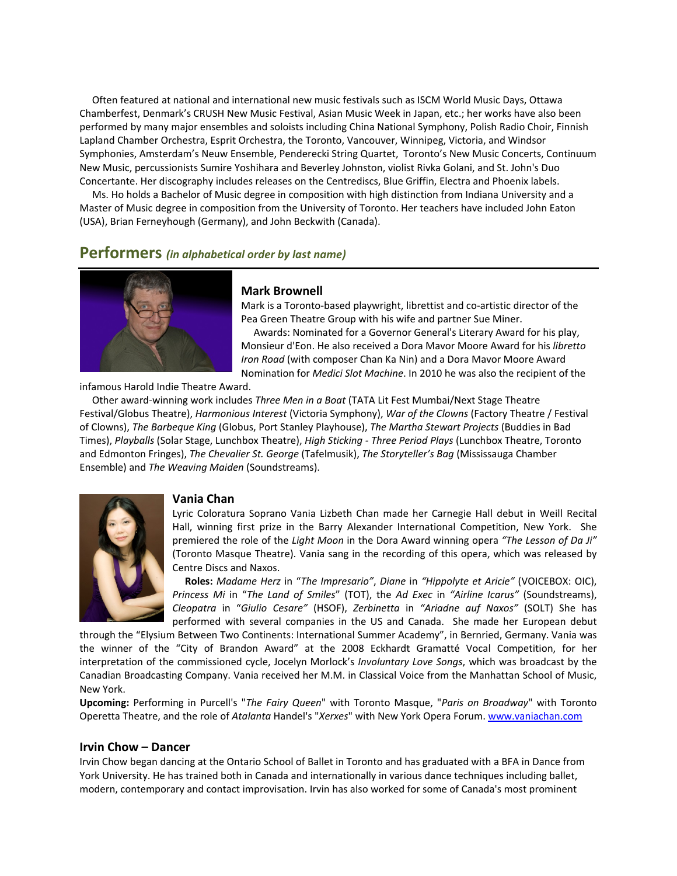Often featured at national and international new music festivals such as ISCM World Music Days, Ottawa Chamberfest, Denmark's CRUSH New Music Festival, Asian Music Week in Japan, etc.; her works have also been performed by many major ensembles and soloists including China National Symphony, Polish Radio Choir, Finnish Lapland Chamber Orchestra, Esprit Orchestra, the Toronto, Vancouver, Winnipeg, Victoria, and Windsor Symphonies, Amsterdam's Neuw Ensemble, Penderecki String Quartet, Toronto's New Music Concerts, Continuum New Music, percussionists Sumire Yoshihara and Beverley Johnston, violist Rivka Golani, and St. John's Duo Concertante. Her discography includes releases on the Centrediscs, Blue Griffin, Electra and Phoenix labels.

 Ms. Ho holds a Bachelor of Music degree in composition with high distinction from Indiana University and a Master of Music degree in composition from the University of Toronto. Her teachers have included John Eaton (USA), Brian Ferneyhough (Germany), and John Beckwith (Canada).

## **Performers** *(in alphabetical order by last name)*



#### **Mark Brownell**

Mark is a Toronto‐based playwright, librettist and co‐artistic director of the Pea Green Theatre Group with his wife and partner Sue Miner.

 Awards: Nominated for a Governor General's Literary Award for his play, Monsieur d'Eon. He also received a Dora Mavor Moore Award for his *libretto Iron Road* (with composer Chan Ka Nin) and a Dora Mavor Moore Award Nomination for *Medici Slot Machine*. In 2010 he was also the recipient of the

infamous Harold Indie Theatre Award.

 Other award‐winning work includes *Three Men in a Boat* (TATA Lit Fest Mumbai/Next Stage Theatre Festival/Globus Theatre), *Harmonious Interest* (Victoria Symphony), *War of the Clowns* (Factory Theatre / Festival of Clowns), *The Barbeque King* (Globus, Port Stanley Playhouse), *The Martha Stewart Projects* (Buddies in Bad Times), *Playballs* (Solar Stage, Lunchbox Theatre), *High Sticking ‐ Three Period Plays* (Lunchbox Theatre, Toronto and Edmonton Fringes), *The Chevalier St. George* (Tafelmusik), *The Storyteller's Bag* (Mississauga Chamber Ensemble) and *The Weaving Maiden* (Soundstreams).



## **Vania Chan**

Lyric Coloratura Soprano Vania Lizbeth Chan made her Carnegie Hall debut in Weill Recital Hall, winning first prize in the Barry Alexander International Competition, New York. She premiered the role of the *Light Moon* in the Dora Award winning opera *"The Lesson of Da Ji"* (Toronto Masque Theatre). Vania sang in the recording of this opera, which was released by Centre Discs and Naxos.

 **Roles:** *Madame Herz* in "*The Impresario"*, *Diane* in *"Hippolyte et Aricie"* (VOICEBOX: OIC), *Princess Mi* in "*The Land of Smiles*" (TOT), the *Ad Exec* in *"Airline Icarus"* (Soundstreams), *Cleopatra* in "*Giulio Cesare"* (HSOF), *Zerbinetta* in *"Ariadne auf Naxos"* (SOLT) She has performed with several companies in the US and Canada. She made her European debut

through the "Elysium Between Two Continents: International Summer Academy", in Bernried, Germany. Vania was the winner of the "City of Brandon Award" at the 2008 Eckhardt Gramatté Vocal Competition, for her interpretation of the commissioned cycle, Jocelyn Morlock's *Involuntary Love Songs*, which was broadcast by the Canadian Broadcasting Company. Vania received her M.M. in Classical Voice from the Manhattan School of Music, New York.

**Upcoming:** Performing in Purcell's "*The Fairy Queen*" with Toronto Masque, "*Paris on Broadway*" with Toronto Operetta Theatre, and the role of *Atalanta* Handel's "*Xerxes*" with New York Opera Forum. www.vaniachan.com

#### **Irvin Chow – Dancer**

Irvin Chow began dancing at the Ontario School of Ballet in Toronto and has graduated with a BFA in Dance from York University. He has trained both in Canada and internationally in various dance techniques including ballet, modern, contemporary and contact improvisation. Irvin has also worked for some of Canada's most prominent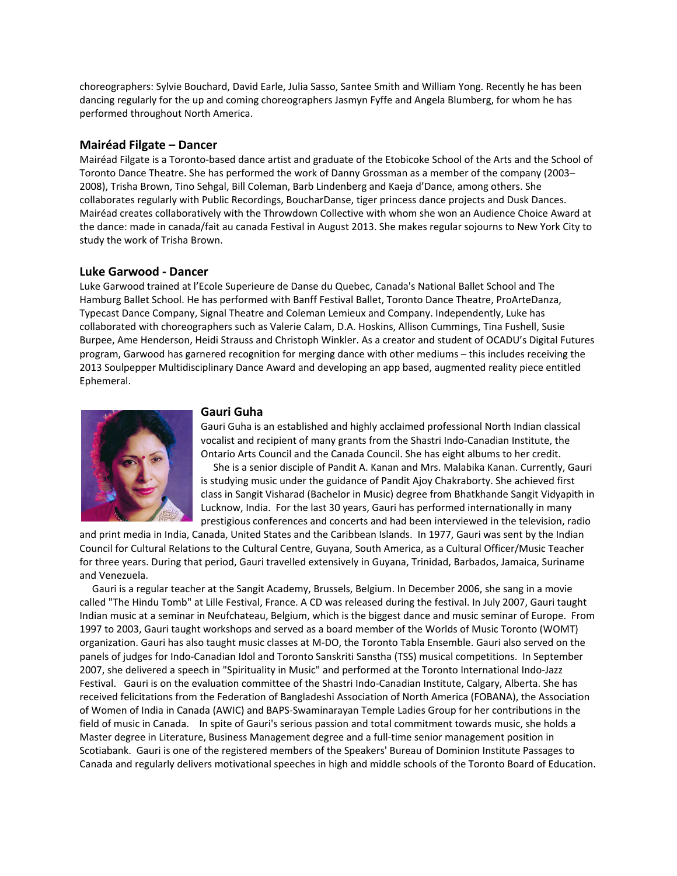choreographers: Sylvie Bouchard, David Earle, Julia Sasso, Santee Smith and William Yong. Recently he has been dancing regularly for the up and coming choreographers Jasmyn Fyffe and Angela Blumberg, for whom he has performed throughout North America.

## **Mairéad Filgate – Dancer**

Mairéad Filgate is a Toronto‐based dance artist and graduate of the Etobicoke School of the Arts and the School of Toronto Dance Theatre. She has performed the work of Danny Grossman as a member of the company (2003– 2008), Trisha Brown, Tino Sehgal, Bill Coleman, Barb Lindenberg and Kaeja d'Dance, among others. She collaborates regularly with Public Recordings, BoucharDanse, tiger princess dance projects and Dusk Dances. Mairéad creates collaboratively with the Throwdown Collective with whom she won an Audience Choice Award at the dance: made in canada/fait au canada Festival in August 2013. She makes regular sojourns to New York City to study the work of Trisha Brown.

#### **Luke Garwood ‐ Dancer**

Luke Garwood trained at l'Ecole Superieure de Danse du Quebec, Canada's National Ballet School and The Hamburg Ballet School. He has performed with Banff Festival Ballet, Toronto Dance Theatre, ProArteDanza, Typecast Dance Company, Signal Theatre and Coleman Lemieux and Company. Independently, Luke has collaborated with choreographers such as Valerie Calam, D.A. Hoskins, Allison Cummings, Tina Fushell, Susie Burpee, Ame Henderson, Heidi Strauss and Christoph Winkler. As a creator and student of OCADU's Digital Futures program, Garwood has garnered recognition for merging dance with other mediums – this includes receiving the 2013 Soulpepper Multidisciplinary Dance Award and developing an app based, augmented reality piece entitled Ephemeral.



#### **Gauri Guha**

Gauri Guha is an established and highly acclaimed professional North Indian classical vocalist and recipient of many grants from the Shastri Indo‐Canadian Institute, the Ontario Arts Council and the Canada Council. She has eight albums to her credit.

 She is a senior disciple of Pandit A. Kanan and Mrs. Malabika Kanan. Currently, Gauri is studying music under the guidance of Pandit Ajoy Chakraborty. She achieved first class in Sangit Visharad (Bachelor in Music) degree from Bhatkhande Sangit Vidyapith in Lucknow, India. For the last 30 years, Gauri has performed internationally in many prestigious conferences and concerts and had been interviewed in the television, radio

and print media in India, Canada, United States and the Caribbean Islands. In 1977, Gauri was sent by the Indian Council for Cultural Relations to the Cultural Centre, Guyana, South America, as a Cultural Officer/Music Teacher for three years. During that period, Gauri travelled extensively in Guyana, Trinidad, Barbados, Jamaica, Suriname and Venezuela.

 Gauri is a regular teacher at the Sangit Academy, Brussels, Belgium. In December 2006, she sang in a movie called "The Hindu Tomb" at Lille Festival, France. A CD was released during the festival. In July 2007, Gauri taught Indian music at a seminar in Neufchateau, Belgium, which is the biggest dance and music seminar of Europe. From 1997 to 2003, Gauri taught workshops and served as a board member of the Worlds of Music Toronto (WOMT) organization. Gauri has also taught music classes at M‐DO, the Toronto Tabla Ensemble. Gauri also served on the panels of judges for Indo‐Canadian Idol and Toronto Sanskriti Sanstha (TSS) musical competitions. In September 2007, she delivered a speech in "Spirituality in Music" and performed at the Toronto International Indo‐Jazz Festival. Gauri is on the evaluation committee of the Shastri Indo-Canadian Institute, Calgary, Alberta. She has received felicitations from the Federation of Bangladeshi Association of North America (FOBANA), the Association of Women of India in Canada (AWIC) and BAPS‐Swaminarayan Temple Ladies Group for her contributions in the field of music in Canada. In spite of Gauri's serious passion and total commitment towards music, she holds a Master degree in Literature, Business Management degree and a full‐time senior management position in Scotiabank. Gauri is one of the registered members of the Speakers' Bureau of Dominion Institute Passages to Canada and regularly delivers motivational speeches in high and middle schools of the Toronto Board of Education.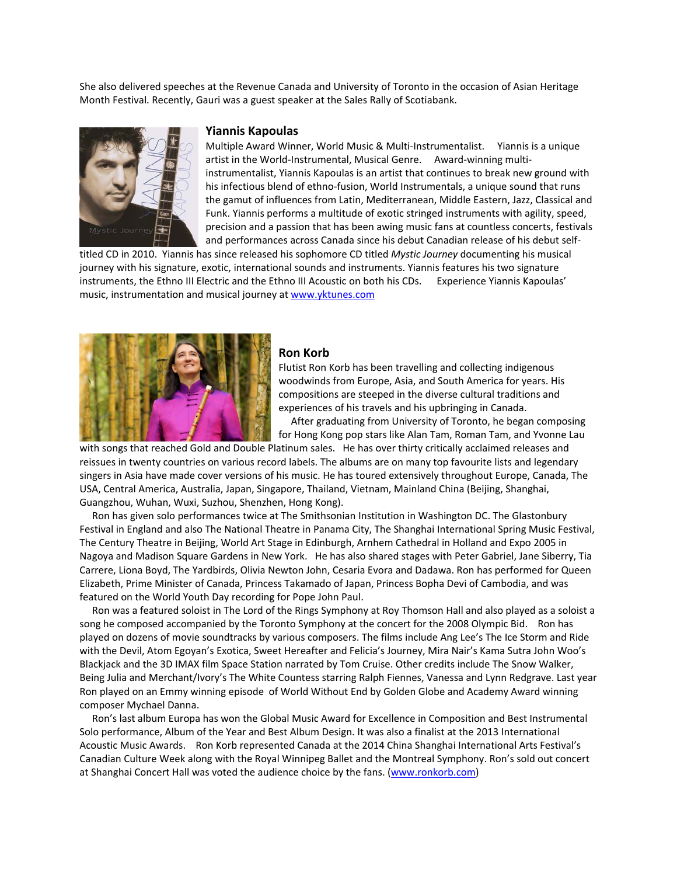She also delivered speeches at the Revenue Canada and University of Toronto in the occasion of Asian Heritage Month Festival. Recently, Gauri was a guest speaker at the Sales Rally of Scotiabank.



#### **Yiannis Kapoulas**

Multiple Award Winner, World Music & Multi‐Instrumentalist. Yiannis is a unique artist in the World-Instrumental, Musical Genre. Award-winning multiinstrumentalist, Yiannis Kapoulas is an artist that continues to break new ground with his infectious blend of ethno-fusion, World Instrumentals, a unique sound that runs the gamut of influences from Latin, Mediterranean, Middle Eastern, Jazz, Classical and Funk. Yiannis performs a multitude of exotic stringed instruments with agility, speed, precision and a passion that has been awing music fans at countless concerts, festivals and performances across Canada since his debut Canadian release of his debut self‐

titled CD in 2010. Yiannis has since released his sophomore CD titled *Mystic Journey* documenting his musical journey with his signature, exotic, international sounds and instruments. Yiannis features his two signature instruments, the Ethno III Electric and the Ethno III Acoustic on both his CDs. Experience Yiannis Kapoulas' music, instrumentation and musical journey at www.yktunes.com



#### **Ron Korb**

Flutist Ron Korb has been travelling and collecting indigenous woodwinds from Europe, Asia, and South America for years. His compositions are steeped in the diverse cultural traditions and experiences of his travels and his upbringing in Canada.

 After graduating from University of Toronto, he began composing for Hong Kong pop stars like Alan Tam, Roman Tam, and Yvonne Lau

with songs that reached Gold and Double Platinum sales. He has over thirty critically acclaimed releases and reissues in twenty countries on various record labels. The albums are on many top favourite lists and legendary singers in Asia have made cover versions of his music. He has toured extensively throughout Europe, Canada, The USA, Central America, Australia, Japan, Singapore, Thailand, Vietnam, Mainland China (Beijing, Shanghai, Guangzhou, Wuhan, Wuxi, Suzhou, Shenzhen, Hong Kong).

 Ron has given solo performances twice at The Smithsonian Institution in Washington DC. The Glastonbury Festival in England and also The National Theatre in Panama City, The Shanghai International Spring Music Festival, The Century Theatre in Beijing, World Art Stage in Edinburgh, Arnhem Cathedral in Holland and Expo 2005 in Nagoya and Madison Square Gardens in New York. He has also shared stages with Peter Gabriel, Jane Siberry, Tia Carrere, Liona Boyd, The Yardbirds, Olivia Newton John, Cesaria Evora and Dadawa. Ron has performed for Queen Elizabeth, Prime Minister of Canada, Princess Takamado of Japan, Princess Bopha Devi of Cambodia, and was featured on the World Youth Day recording for Pope John Paul.

 Ron was a featured soloist in The Lord of the Rings Symphony at Roy Thomson Hall and also played as a soloist a song he composed accompanied by the Toronto Symphony at the concert for the 2008 Olympic Bid. Ron has played on dozens of movie soundtracks by various composers. The films include Ang Lee's The Ice Storm and Ride with the Devil, Atom Egoyan's Exotica, Sweet Hereafter and Felicia's Journey, Mira Nair's Kama Sutra John Woo's Blackjack and the 3D IMAX film Space Station narrated by Tom Cruise. Other credits include The Snow Walker, Being Julia and Merchant/Ivory's The White Countess starring Ralph Fiennes, Vanessa and Lynn Redgrave. Last year Ron played on an Emmy winning episode of World Without End by Golden Globe and Academy Award winning composer Mychael Danna.

 Ron's last album Europa has won the Global Music Award for Excellence in Composition and Best Instrumental Solo performance, Album of the Year and Best Album Design. It was also a finalist at the 2013 International Acoustic Music Awards. Ron Korb represented Canada at the 2014 China Shanghai International Arts Festival's Canadian Culture Week along with the Royal Winnipeg Ballet and the Montreal Symphony. Ron's sold out concert at Shanghai Concert Hall was voted the audience choice by the fans. (www.ronkorb.com)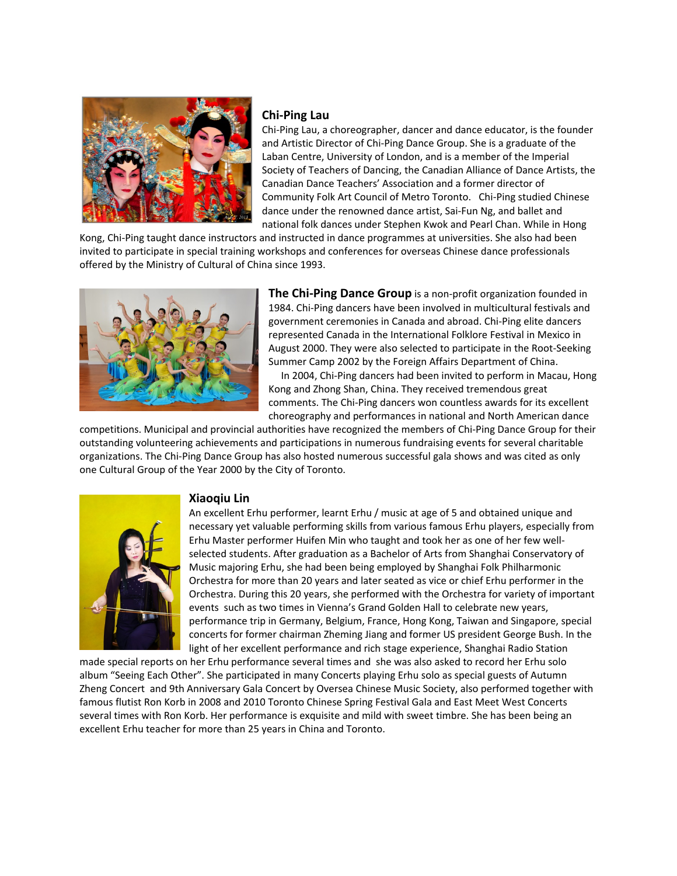

## **Chi‐Ping Lau**

Chi‐Ping Lau, a choreographer, dancer and dance educator, is the founder and Artistic Director of Chi‐Ping Dance Group. She is a graduate of the Laban Centre, University of London, and is a member of the Imperial Society of Teachers of Dancing, the Canadian Alliance of Dance Artists, the Canadian Dance Teachers' Association and a former director of Community Folk Art Council of Metro Toronto. Chi‐Ping studied Chinese dance under the renowned dance artist, Sai‐Fun Ng, and ballet and national folk dances under Stephen Kwok and Pearl Chan. While in Hong

Kong, Chi‐Ping taught dance instructors and instructed in dance programmes at universities. She also had been invited to participate in special training workshops and conferences for overseas Chinese dance professionals offered by the Ministry of Cultural of China since 1993.



**The Chi‐Ping Dance Group** is a non‐profit organization founded in 1984. Chi-Ping dancers have been involved in multicultural festivals and government ceremonies in Canada and abroad. Chi‐Ping elite dancers represented Canada in the International Folklore Festival in Mexico in August 2000. They were also selected to participate in the Root‐Seeking Summer Camp 2002 by the Foreign Affairs Department of China.

 In 2004, Chi‐Ping dancers had been invited to perform in Macau, Hong Kong and Zhong Shan, China. They received tremendous great comments. The Chi‐Ping dancers won countless awards for its excellent choreography and performances in national and North American dance

competitions. Municipal and provincial authorities have recognized the members of Chi‐Ping Dance Group for their outstanding volunteering achievements and participations in numerous fundraising events for several charitable organizations. The Chi‐Ping Dance Group has also hosted numerous successful gala shows and was cited as only one Cultural Group of the Year 2000 by the City of Toronto.



## **Xiaoqiu Lin**

An excellent Erhu performer, learnt Erhu / music at age of 5 and obtained unique and necessary yet valuable performing skills from various famous Erhu players, especially from Erhu Master performer Huifen Min who taught and took her as one of her few well‐ selected students. After graduation as a Bachelor of Arts from Shanghai Conservatory of Music majoring Erhu, she had been being employed by Shanghai Folk Philharmonic Orchestra for more than 20 years and later seated as vice or chief Erhu performer in the Orchestra. During this 20 years, she performed with the Orchestra for variety of important events such as two times in Vienna's Grand Golden Hall to celebrate new years, performance trip in Germany, Belgium, France, Hong Kong, Taiwan and Singapore, special concerts for former chairman Zheming Jiang and former US president George Bush. In the light of her excellent performance and rich stage experience, Shanghai Radio Station

made special reports on her Erhu performance several times and she was also asked to record her Erhu solo album "Seeing Each Other". She participated in many Concerts playing Erhu solo as special guests of Autumn Zheng Concert and 9th Anniversary Gala Concert by Oversea Chinese Music Society, also performed together with famous flutist Ron Korb in 2008 and 2010 Toronto Chinese Spring Festival Gala and East Meet West Concerts several times with Ron Korb. Her performance is exquisite and mild with sweet timbre. She has been being an excellent Erhu teacher for more than 25 years in China and Toronto.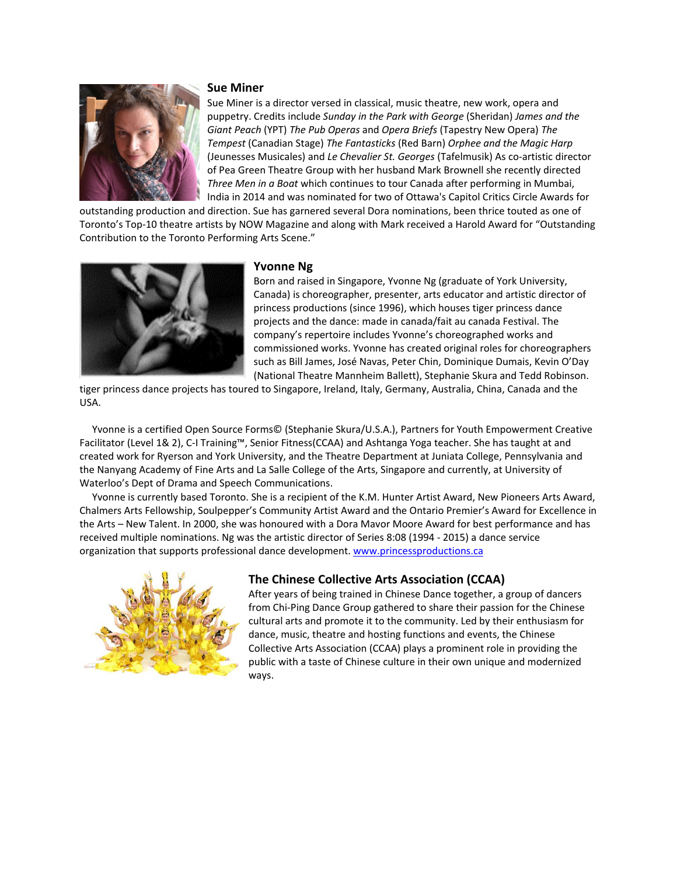

#### **Sue Miner**

Sue Miner is a director versed in classical, music theatre, new work, opera and puppetry. Credits include *Sunday in the Park with George* (Sheridan) *James and the Giant Peach* (YPT) *The Pub Operas* and *Opera Briefs* (Tapestry New Opera) *The Tempest* (Canadian Stage) *The Fantasticks* (Red Barn) *Orphee and the Magic Harp* (Jeunesses Musicales) and *Le Chevalier St. Georges* (Tafelmusik) As co‐artistic director of Pea Green Theatre Group with her husband Mark Brownell she recently directed *Three Men in a Boat* which continues to tour Canada after performing in Mumbai, India in 2014 and was nominated for two of Ottawa's Capitol Critics Circle Awards for

outstanding production and direction. Sue has garnered several Dora nominations, been thrice touted as one of Toronto's Top‐10 theatre artists by NOW Magazine and along with Mark received a Harold Award for "Outstanding Contribution to the Toronto Performing Arts Scene."



## **Yvonne Ng**

Born and raised in Singapore, Yvonne Ng (graduate of York University, Canada) is choreographer, presenter, arts educator and artistic director of princess productions (since 1996), which houses tiger princess dance projects and the dance: made in canada/fait au canada Festival. The company's repertoire includes Yvonne's choreographed works and commissioned works. Yvonne has created original roles for choreographers such as Bill James, José Navas, Peter Chin, Dominique Dumais, Kevin O'Day (National Theatre Mannheim Ballett), Stephanie Skura and Tedd Robinson.

tiger princess dance projects has toured to Singapore, Ireland, Italy, Germany, Australia, China, Canada and the USA.

 Yvonne is a certified Open Source Forms© (Stephanie Skura/U.S.A.), Partners for Youth Empowerment Creative Facilitator (Level 1& 2), C‐I Training™, Senior Fitness(CCAA) and Ashtanga Yoga teacher. She has taught at and created work for Ryerson and York University, and the Theatre Department at Juniata College, Pennsylvania and the Nanyang Academy of Fine Arts and La Salle College of the Arts, Singapore and currently, at University of Waterloo's Dept of Drama and Speech Communications.

 Yvonne is currently based Toronto. She is a recipient of the K.M. Hunter Artist Award, New Pioneers Arts Award, Chalmers Arts Fellowship, Soulpepper's Community Artist Award and the Ontario Premier's Award for Excellence in the Arts – New Talent. In 2000, she was honoured with a Dora Mavor Moore Award for best performance and has received multiple nominations. Ng was the artistic director of Series 8:08 (1994 ‐ 2015) a dance service organization that supports professional dance development. www.princessproductions.ca



## **The Chinese Collective Arts Association (CCAA)**

After years of being trained in Chinese Dance together, a group of dancers from Chi‐Ping Dance Group gathered to share their passion for the Chinese cultural arts and promote it to the community. Led by their enthusiasm for dance, music, theatre and hosting functions and events, the Chinese Collective Arts Association (CCAA) plays a prominent role in providing the public with a taste of Chinese culture in their own unique and modernized ways.